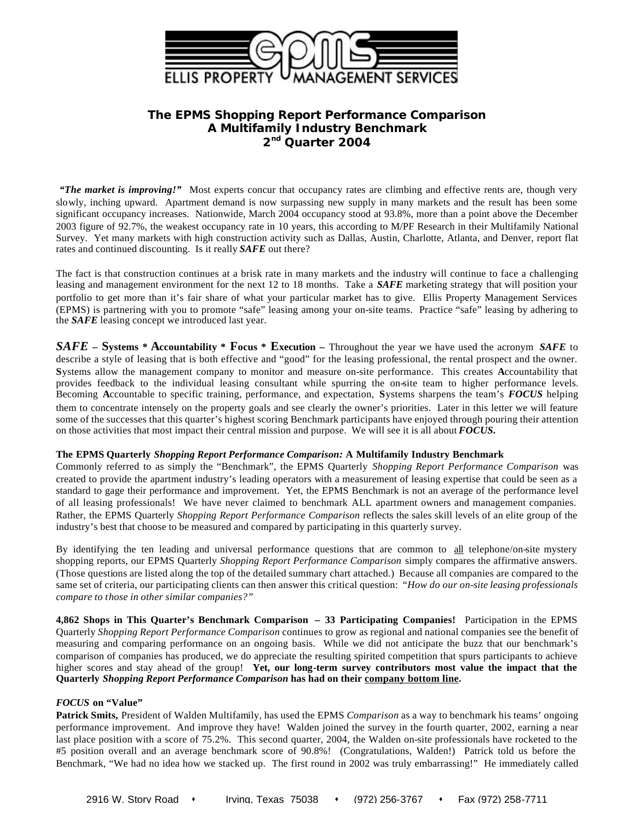

# **The EPMS** *Shopping Report Performance Comparison* **A Multifamily Industry Benchmark 2 nd Quarter 2004**

 *"The market is improving!"* Most experts concur that occupancy rates are climbing and effective rents are, though very slowly, inching upward. Apartment demand is now surpassing new supply in many markets and the result has been some significant occupancy increases. Nationwide, March 2004 occupancy stood at 93.8%, more than a point above the December 2003 figure of 92.7%, the weakest occupancy rate in 10 years, this according to M/PF Research in their Multifamily National Survey. Yet many markets with high construction activity such as Dallas, Austin, Charlotte, Atlanta, and Denver, report flat rates and continued discounting. Is it really *SAFE* out there?

The fact is that construction continues at a brisk rate in many markets and the industry will continue to face a challenging leasing and management environment for the next 12 to 18 months. Take a *SAFE* marketing strategy that will position your portfolio to get more than it's fair share of what your particular market has to give. Ellis Property Management Services (EPMS) is partnering with you to promote "safe" leasing among your on-site teams. Practice "safe" leasing by adhering to the *SAFE* leasing concept we introduced last year.

*SAFE* **– Systems \* Accountability \* Focus \* Execution –** Throughout the year we have used the acronym *SAFE* to describe a style of leasing that is both effective and "good" for the leasing professional, the rental prospect and the owner. **S**ystems allow the management company to monitor and measure on-site performance. This creates **A**ccountability that provides feedback to the individual leasing consultant while spurring the on-site team to higher performance levels. Becoming **A**ccountable to specific training, performance, and expectation, **S**ystems sharpens the team's *FOCUS* helping them to concentrate intensely on the property goals and see clearly the owner's priorities. Later in this letter we will feature some of the successes that this quarter's highest scoring Benchmark participants have enjoyed through pouring their attention on those activities that most impact their central mission and purpose. We will see it is all about *FOCUS.*

# **The EPMS Quarterly** *Shopping Report Performance Comparison:* **A Multifamily Industry Benchmark**

Commonly referred to as simply the "Benchmark", the EPMS Quarterly *Shopping Report Performance Comparison* was created to provide the apartment industry's leading operators with a measurement of leasing expertise that could be seen as a standard to gage their performance and improvement. Yet, the EPMS Benchmark is not an average of the performance level of all leasing professionals! We have never claimed to benchmark ALL apartment owners and management companies. Rather, the EPMS Quarterly *Shopping Report Performance Comparison* reflects the sales skill levels of an elite group of the industry's best that choose to be measured and compared by participating in this quarterly survey.

By identifying the ten leading and universal performance questions that are common to all telephone/on-site mystery shopping reports, our EPMS Quarterly *Shopping Report Performance Comparison* simply compares the affirmative answers. (Those questions are listed along the top of the detailed summary chart attached.) Because all companies are compared to the same set of criteria, our participating clients can then answer this critical question: "*How do our on-site leasing professionals compare to those in other similar companies?"*

**4,862 Shops in This Quarter's Benchmark Comparison – 33 Participating Companies!** Participation in the EPMS Quarterly *Shopping Report Performance Comparison* continues to grow as regional and national companies see the benefit of measuring and comparing performance on an ongoing basis. While we did not anticipate the buzz that our benchmark's comparison of companies has produced, we do appreciate the resulting spirited competition that spurs participants to achieve higher scores and stay ahead of the group! **Yet, our long-term survey contributors most value the impact that the Quarterly** *Shopping Report Performance Comparison* **has had on their company bottom line.**

### *FOCUS* **on "Value"**

**Patrick Smits,** President of Walden Multifamily, has used the EPMS *Comparison* as a way to benchmark his teams' ongoing performance improvement. And improve they have! Walden joined the survey in the fourth quarter, 2002, earning a near last place position with a score of  $75.2\%$ . This second quarter, 2004, the Walden on-site professionals have rocketed to the #5 position overall and an average benchmark score of 90.8%! (Congratulations, Walden!) Patrick told us before the Benchmark, "We had no idea how we stacked up. The first round in 2002 was truly embarrassing!" He immediately called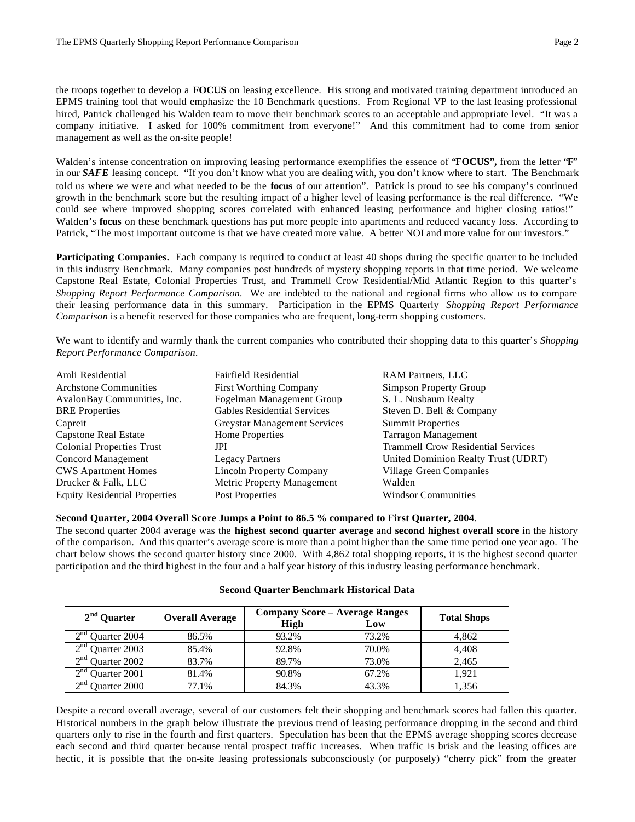management as well as the on-site people!

the troops together to develop a **FOCUS** on leasing excellence. His strong and motivated training department introduced an EPMS training tool that would emphasize the 10 Benchmark questions. From Regional VP to the last leasing professional hired, Patrick challenged his Walden team to move their benchmark scores to an acceptable and appropriate level. "It was a company initiative. I asked for 100% commitment from everyone!" And this commitment had to come from senior

Walden's intense concentration on improving leasing performance exemplifies the essence of "**FOCUS",** from the letter "**F**" in our *SAFE* leasing concept. "If you don't know what you are dealing with, you don't know where to start. The Benchmark told us where we were and what needed to be the **focus** of our attention". Patrick is proud to see his company's continued growth in the benchmark score but the resulting impact of a higher level of leasing performance is the real difference. "We could see where improved shopping scores correlated with enhanced leasing performance and higher closing ratios!" Walden's **focus** on these benchmark questions has put more people into apartments and reduced vacancy loss. According to Patrick, "The most important outcome is that we have created more value. A better NOI and more value for our investors."

**Participating Companies.** Each company is required to conduct at least 40 shops during the specific quarter to be included in this industry Benchmark. Many companies post hundreds of mystery shopping reports in that time period. We welcome Capstone Real Estate, Colonial Properties Trust, and Trammell Crow Residential/Mid Atlantic Region to this quarter's *Shopping Report Performance Comparison.* We are indebted to the national and regional firms who allow us to compare their leasing performance data in this summary. Participation in the EPMS Quarterly *Shopping Report Performance Comparison* is a benefit reserved for those companies who are frequent, long-term shopping customers.

We want to identify and warmly thank the current companies who contributed their shopping data to this quarter's *Shopping Report Performance Comparison.*

| Amli Residential                     | Fairfield Residential              | <b>RAM Partners, LLC</b>                  |
|--------------------------------------|------------------------------------|-------------------------------------------|
| <b>Archstone Communities</b>         | <b>First Worthing Company</b>      | <b>Simpson Property Group</b>             |
| AvalonBay Communities, Inc.          | Fogelman Management Group          | S. L. Nusbaum Realty                      |
| <b>BRE</b> Properties                | <b>Gables Residential Services</b> | Steven D. Bell & Company                  |
| Capreit                              | Greystar Management Services       | <b>Summit Properties</b>                  |
| Capstone Real Estate                 | Home Properties                    | <b>Tarragon Management</b>                |
| <b>Colonial Properties Trust</b>     | JPI                                | <b>Trammell Crow Residential Services</b> |
| Concord Management                   | <b>Legacy Partners</b>             | United Dominion Realty Trust (UDRT)       |
| <b>CWS Apartment Homes</b>           | <b>Lincoln Property Company</b>    | Village Green Companies                   |
| Drucker & Falk, LLC                  | Metric Property Management         | Walden                                    |
| <b>Equity Residential Properties</b> | Post Properties                    | <b>Windsor Communities</b>                |

### **Second Quarter, 2004 Overall Score Jumps a Point to 86.5 % compared to First Quarter, 2004**.

The second quarter 2004 average was the **highest second quarter average** and **second highest overall score** in the history of the comparison. And this quarter's average score is more than a point higher than the same time period one year ago. The chart below shows the second quarter history since 2000. With 4,862 total shopping reports, it is the highest second quarter participation and the third highest in the four and a half year history of this industry leasing performance benchmark.

| 2 <sup>nd</sup> Quarter      | <b>Overall Average</b> | <b>Company Score - Average Ranges</b><br>High | <b>Total Shops</b> |       |
|------------------------------|------------------------|-----------------------------------------------|--------------------|-------|
| $\gamma$ nd<br>Quarter 2004  | 86.5%                  | 93.2%                                         | 73.2%              | 4,862 |
| $\gamma$ nd<br>Quarter 2003  | 85.4%                  | 92.8%                                         | 70.0%              | 4.408 |
| $\gamma$ nd<br>Quarter 2002  | 83.7%                  | 89.7%                                         | 73.0%              | 2,465 |
| $\lambda$ nd<br>Quarter 2001 | 81.4%                  | 90.8%                                         | 67.2%              | 1.921 |
| $\lambda$ nd<br>Duarter 2000 | 77.1%                  | 84.3%                                         | 43.3%              | .356  |

#### **Second Quarter Benchmark Historical Data**

Despite a record overall average, several of our customers felt their shopping and benchmark scores had fallen this quarter. Historical numbers in the graph below illustrate the previous trend of leasing performance dropping in the second and third quarters only to rise in the fourth and first quarters. Speculation has been that the EPMS average shopping scores decrease each second and third quarter because rental prospect traffic increases. When traffic is brisk and the leasing offices are hectic, it is possible that the on-site leasing professionals subconsciously (or purposely) "cherry pick" from the greater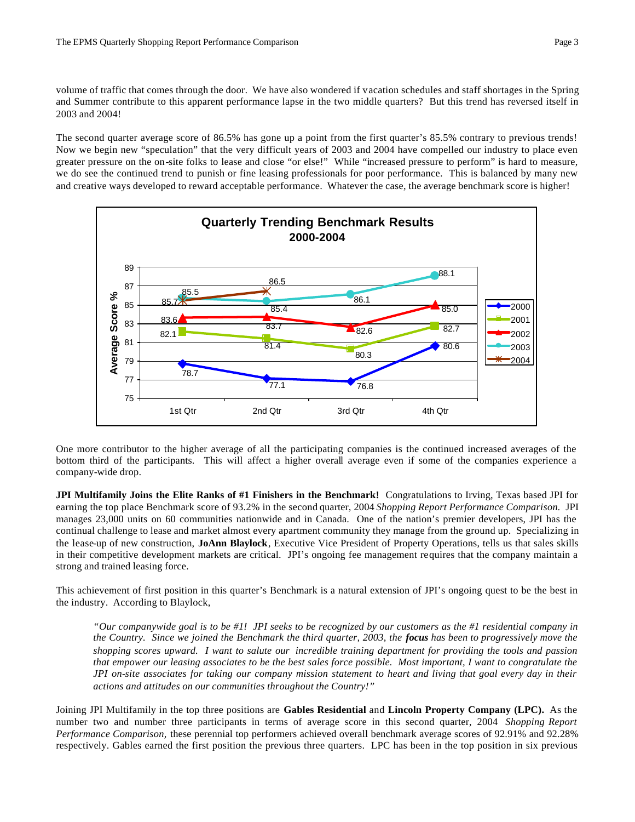volume of traffic that comes through the door. We have also wondered if vacation schedules and staff shortages in the Spring and Summer contribute to this apparent performance lapse in the two middle quarters? But this trend has reversed itself in 2003 and 2004!

The second quarter average score of 86.5% has gone up a point from the first quarter's 85.5% contrary to previous trends! Now we begin new "speculation" that the very difficult years of 2003 and 2004 have compelled our industry to place even greater pressure on the on-site folks to lease and close "or else!" While "increased pressure to perform" is hard to measure, we do see the continued trend to punish or fine leasing professionals for poor performance. This is balanced by many new and creative ways developed to reward acceptable performance. Whatever the case, the average benchmark score is higher!



One more contributor to the higher average of all the participating companies is the continued increased averages of the bottom third of the participants. This will affect a higher overall average even if some of the companies experience a company-wide drop.

**JPI Multifamily Joins the Elite Ranks of #1 Finishers in the Benchmark!** Congratulations to Irving, Texas based JPI for earning the top place Benchmark score of 93.2% in the second quarter, 2004 *Shopping Report Performance Comparison.* JPI manages 23,000 units on 60 communities nationwide and in Canada. One of the nation's premier developers, JPI has the continual challenge to lease and market almost every apartment community they manage from the ground up. Specializing in the lease-up of new construction, **JoAnn Blaylock**, Executive Vice President of Property Operations, tells us that sales skills in their competitive development markets are critical. JPI's ongoing fee management requires that the company maintain a strong and trained leasing force.

This achievement of first position in this quarter's Benchmark is a natural extension of JPI's ongoing quest to be the best in the industry. According to Blaylock,

*"Our companywide goal is to be #1! JPI seeks to be recognized by our customers as the #1 residential company in the Country. Since we joined the Benchmark the third quarter, 2003, the focus has been to progressively move the shopping scores upward. I want to salute our incredible training department for providing the tools and passion that empower our leasing associates to be the best sales force possible. Most important, I want to congratulate the JPI on-site associates for taking our company mission statement to heart and living that goal every day in their actions and attitudes on our communities throughout the Country!"*

Joining JPI Multifamily in the top three positions are **Gables Residential** and **Lincoln Property Company (LPC).** As the number two and number three participants in terms of average score in this second quarter, 2004 *Shopping Report Performance Comparison,* these perennial top performers achieved overall benchmark average scores of 92.91% and 92.28% respectively. Gables earned the first position the previous three quarters. LPC has been in the top position in six previous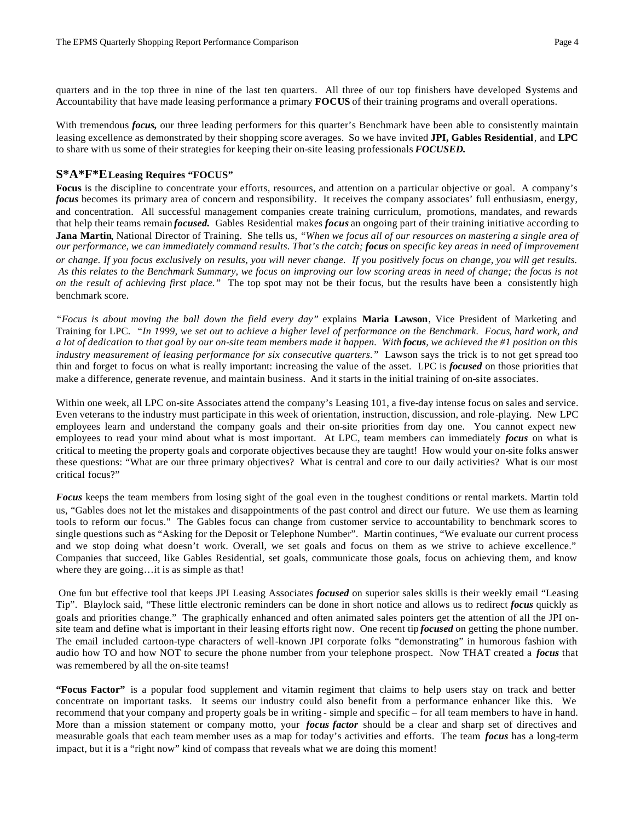quarters and in the top three in nine of the last ten quarters. All three of our top finishers have developed **S**ystems and **A**ccountability that have made leasing performance a primary **FOCUS** of their training programs and overall operations.

With tremendous *focus*, our three leading performers for this quarter's Benchmark have been able to consistently maintain leasing excellence as demonstrated by their shopping score averages. So we have invited **JPI, Gables Residential**, and **LPC** to share with us some of their strategies for keeping their on-site leasing professionals *FOCUSED.*

## **S\*A\*F\*E Leasing Requires "FOCUS"**

Focus is the discipline to concentrate your efforts, resources, and attention on a particular objective or goal. A company's *focus* becomes its primary area of concern and responsibility. It receives the company associates' full enthusiasm, energy, and concentration. All successful management companies create training curriculum, promotions, mandates, and rewards that help their teams remain *focused.* Gables Residential makes *focus* an ongoing part of their training initiative according to **Jana Martin**, National Director of Training. She tells us, *"When we focus all of our resources on mastering a single area of our performance, we can immediately command results. That's the catch; focus on specific key areas in need of improvement or change. If you focus exclusively on results, you will never change. If you positively focus on change, you will get results. As this relates to the Benchmark Summary, we focus on improving our low scoring areas in need of change; the focus is not on the result of achieving first place."* The top spot may not be their focus, but the results have been a consistently high benchmark score.

*"Focus is about moving the ball down the field every day"* explains **Maria Lawson**, Vice President of Marketing and Training for LPC. *"In 1999, we set out to achieve a higher level of performance on the Benchmark. Focus, hard work, and a lot of dedication to that goal by our on-site team members made it happen. With focus, we achieved the #1 position on this industry measurement of leasing performance for six consecutive quarters."* Lawson says the trick is to not get spread too thin and forget to focus on what is really important: increasing the value of the asset. LPC is *focused* on those priorities that make a difference, generate revenue, and maintain business. And it starts in the initial training of on-site associates.

Within one week, all LPC on-site Associates attend the company's Leasing 101, a five-day intense focus on sales and service. Even veterans to the industry must participate in this week of orientation, instruction, discussion, and role-playing. New LPC employees learn and understand the company goals and their on-site priorities from day one. You cannot expect new employees to read your mind about what is most important. At LPC, team members can immediately *focus* on what is critical to meeting the property goals and corporate objectives because they are taught! How would your on-site folks answer these questions: "What are our three primary objectives? What is central and core to our daily activities? What is our most critical focus?"

*Focus* keeps the team members from losing sight of the goal even in the toughest conditions or rental markets. Martin told us, "Gables does not let the mistakes and disappointments of the past control and direct our future. We use them as learning tools to reform our focus." The Gables focus can change from customer service to accountability to benchmark scores to single questions such as "Asking for the Deposit or Telephone Number". Martin continues, "We evaluate our current process and we stop doing what doesn't work. Overall, we set goals and focus on them as we strive to achieve excellence." Companies that succeed, like Gables Residential, set goals, communicate those goals, focus on achieving them, and know where they are going…it is as simple as that!

 One fun but effective tool that keeps JPI Leasing Associates *focused* on superior sales skills is their weekly email "Leasing Tip". Blaylock said, "These little electronic reminders can be done in short notice and allows us to redirect *focus* quickly as goals and priorities change." The graphically enhanced and often animated sales pointers get the attention of all the JPI onsite team and define what is important in their leasing efforts right now. One recent tip *focused* on getting the phone number. The email included cartoon-type characters of well-known JPI corporate folks "demonstrating" in humorous fashion with audio how TO and how NOT to secure the phone number from your telephone prospect. Now THAT created a *focus* that was remembered by all the on-site teams!

**"Focus Factor"** is a popular food supplement and vitamin regiment that claims to help users stay on track and better concentrate on important tasks. It seems our industry could also benefit from a performance enhancer like this. We recommend that your company and property goals be in writing - simple and specific – for all team members to have in hand. More than a mission statement or company motto, your *focus factor* should be a clear and sharp set of directives and measurable goals that each team member uses as a map for today's activities and efforts. The team *focus* has a long-term impact, but it is a "right now" kind of compass that reveals what we are doing this moment!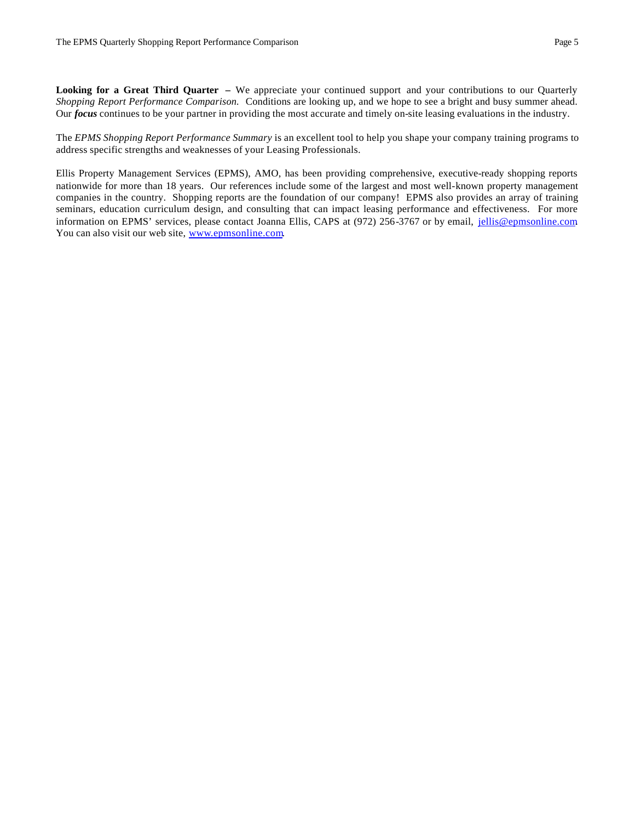**Looking for a Great Third Quarter –** We appreciate your continued support and your contributions to our Quarterly *Shopping Report Performance Comparison.* Conditions are looking up, and we hope to see a bright and busy summer ahead. Our *focus* continues to be your partner in providing the most accurate and timely on-site leasing evaluations in the industry.

The *EPMS Shopping Report Performance Summary* is an excellent tool to help you shape your company training programs to address specific strengths and weaknesses of your Leasing Professionals.

Ellis Property Management Services (EPMS), AMO, has been providing comprehensive, executive-ready shopping reports nationwide for more than 18 years. Our references include some of the largest and most well-known property management companies in the country. Shopping reports are the foundation of our company! EPMS also provides an array of training seminars, education curriculum design, and consulting that can impact leasing performance and effectiveness. For more information on EPMS' services, please contact Joanna Ellis, CAPS at (972) 256-3767 or by email, jellis@epmsonline.com. You can also visit our web site, www.epmsonline.com.